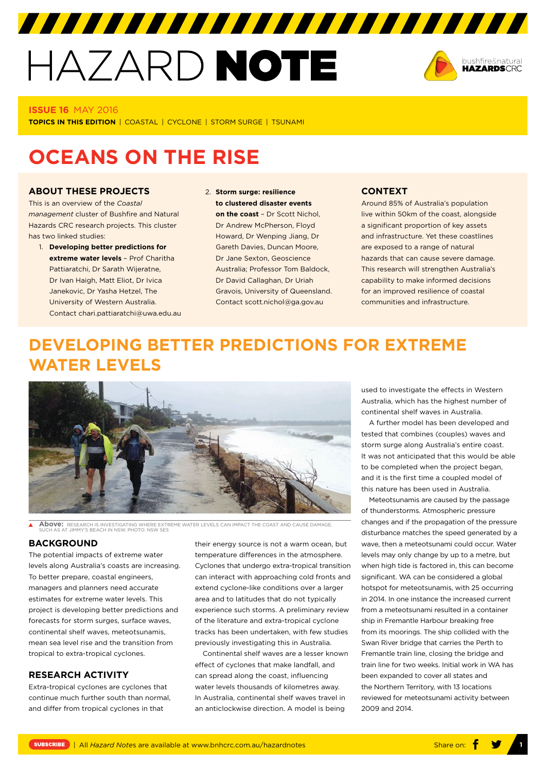# HAZARD NOTE



#### **ISSUE 16** MAY 2016

**TOPICS IN THIS EDITION** | COASTAL | CYCLONE | STORM SURGE | TSUNAMI

# **OCEANS ON THE RISE**

## **ABOUT THESE PROJECTS**

This is an overview of the *Coastal management* cluster of Bushfire and Natural Hazards CRC research projects. This cluster has two linked studies:

- 1. **Developing better predictions for extreme water levels** – Prof Charitha Pattiaratchi, Dr Sarath Wijeratne, Dr Ivan Haigh, Matt Eliot, Dr Ivica Janekovic, Dr Yasha Hetzel, The University of Western Australia. Contact [chari.pattiaratchi@uwa.edu.au](mailto:chari.pattiaratchi@uwa.edu.au)
- 2. **Storm surge: resilience to clustered disaster events on the coast** – Dr Scott Nichol, Dr Andrew McPherson, Floyd Howard, Dr Wenping Jiang, Dr Gareth Davies, Duncan Moore, Dr Jane Sexton, Geoscience Australia; Professor Tom Baldock, Dr David Callaghan, Dr Uriah Gravois, University of Queensland. Contact [scott.nichol@ga.gov.au](mailto:scott.nichol@ga.gov.au)

#### **CONTEXT**

Around 85% of Australia's population live within 50km of the coast, alongside a significant proportion of key assets and infrastructure. Yet these coastlines are exposed to a range of natural hazards that can cause severe damage. This research will strengthen Australia's capability to make informed decisions for an improved resilience of coastal communities and infrastructure.

# **DEVELOPING BETTER PREDICTIONS FOR EXTREME WATER LEVELS**



**Above:** RESEARCH IS INVESTIGATING WHERE EXTREME WATER LEVELS CAN IMPACT THE COAST AND CAUSE DAMAGE, SUCH AS AT JIMMY'S BEACH IN NSW. PHOTO: NSW SES

#### **BACKGROUND**

The potential impacts of extreme water levels along Australia's coasts are increasing. To better prepare, coastal engineers, managers and planners need accurate estimates for extreme water levels. This project is developing better predictions and forecasts for storm surges, surface waves, continental shelf waves, meteotsunamis, mean sea level rise and the transition from tropical to extra-tropical cyclones.

# **RESEARCH ACTIVITY**

Extra-tropical cyclones are cyclones that continue much further south than normal, and differ from tropical cyclones in that

their energy source is not a warm ocean, but temperature differences in the atmosphere. Cyclones that undergo extra-tropical transition can interact with approaching cold fronts and extend cyclone-like conditions over a larger area and to latitudes that do not typically experience such storms. A preliminary review of the literature and extra-tropical cyclone tracks has been undertaken, with few studies previously investigating this in Australia.

Continental shelf waves are a lesser known effect of cyclones that make landfall, and can spread along the coast, influencing water levels thousands of kilometres away. In Australia, continental shelf waves travel in an anticlockwise direction. A model is being

used to investigate the effects in Western Australia, which has the highest number of continental shelf waves in Australia.

A further model has been developed and tested that combines (couples) waves and storm surge along Australia's entire coast. It was not anticipated that this would be able to be completed when the project began, and it is the first time a coupled model of this nature has been used in Australia.

Meteotsunamis are caused by the passage of thunderstorms. Atmospheric pressure changes and if the propagation of the pressure disturbance matches the speed generated by a wave, then a meteotsunami could occur. Water levels may only change by up to a metre, but when high tide is factored in, this can become significant. WA can be considered a global hotspot for meteotsunamis, with 25 occurring in 2014. In one instance the increased current from a meteotsunami resulted in a container ship in Fremantle Harbour breaking free from its moorings. The ship collided with the Swan River bridge that carries the Perth to Fremantle train line, closing the bridge and train line for two weeks. Initial work in WA has been expanded to cover all states and the Northern Territory, with 13 locations reviewed for meteotsunami activity between 2009 and 2014.